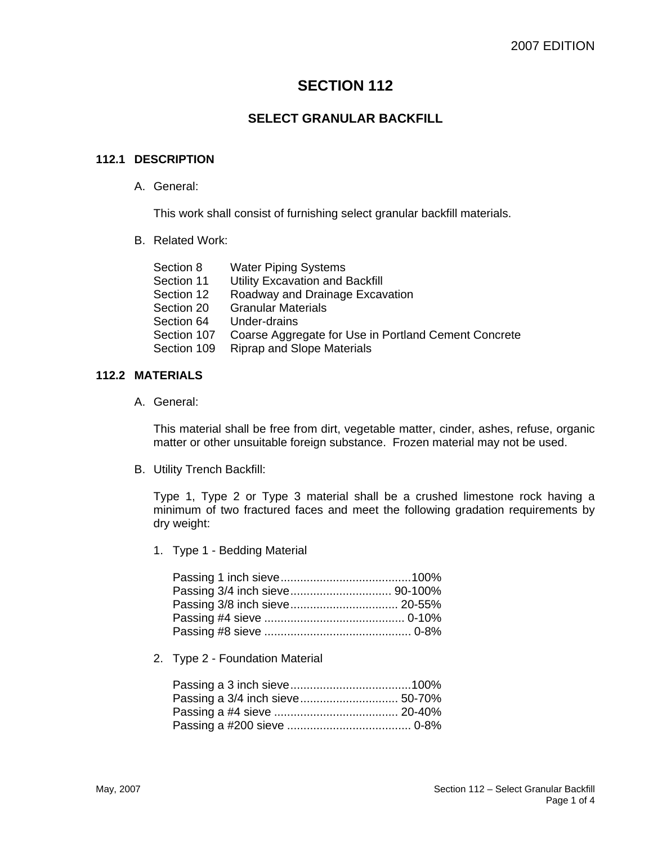# **SECTION 112**

# **SELECT GRANULAR BACKFILL**

### **112.1 DESCRIPTION**

A. General:

This work shall consist of furnishing select granular backfill materials.

B. Related Work:

| Section 8   | <b>Water Piping Systems</b>                          |
|-------------|------------------------------------------------------|
| Section 11  | Utility Excavation and Backfill                      |
| Section 12  | Roadway and Drainage Excavation                      |
| Section 20  | <b>Granular Materials</b>                            |
| Section 64  | Under-drains                                         |
| Section 107 | Coarse Aggregate for Use in Portland Cement Concrete |
| Section 109 | <b>Riprap and Slope Materials</b>                    |

#### **112.2 MATERIALS**

A. General:

This material shall be free from dirt, vegetable matter, cinder, ashes, refuse, organic matter or other unsuitable foreign substance. Frozen material may not be used.

B. Utility Trench Backfill:

Type 1, Type 2 or Type 3 material shall be a crushed limestone rock having a minimum of two fractured faces and meet the following gradation requirements by dry weight:

1. Type 1 - Bedding Material

2. Type 2 - Foundation Material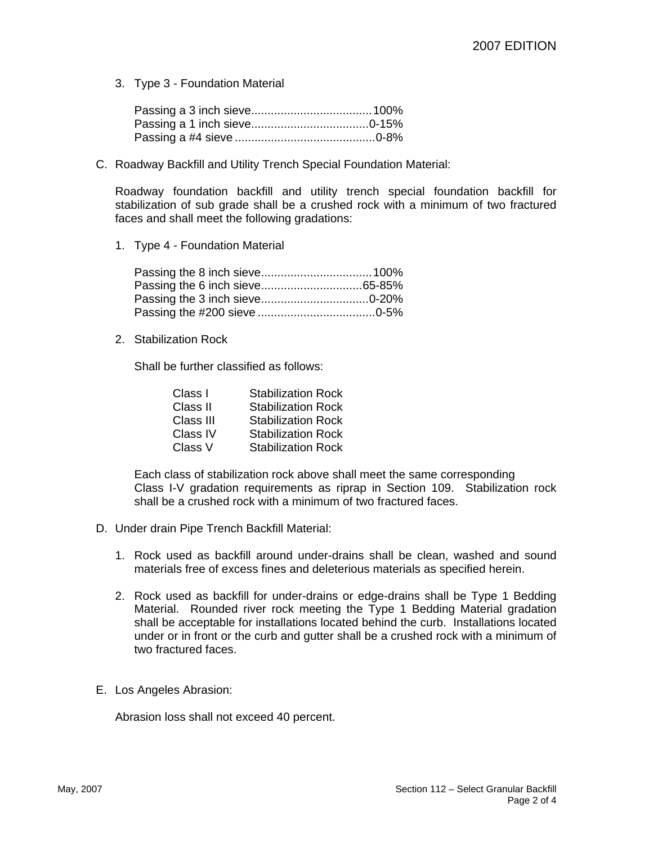3. Type 3 - Foundation Material

C. Roadway Backfill and Utility Trench Special Foundation Material:

Roadway foundation backfill and utility trench special foundation backfill for stabilization of sub grade shall be a crushed rock with a minimum of two fractured faces and shall meet the following gradations:

1. Type 4 - Foundation Material

2. Stabilization Rock

Shall be further classified as follows:

| Class I   | <b>Stabilization Rock</b> |
|-----------|---------------------------|
| Class II  | <b>Stabilization Rock</b> |
| Class III | <b>Stabilization Rock</b> |
| Class IV  | <b>Stabilization Rock</b> |
| Class V   | <b>Stabilization Rock</b> |

Each class of stabilization rock above shall meet the same corresponding Class I-V gradation requirements as riprap in Section 109. Stabilization rock shall be a crushed rock with a minimum of two fractured faces.

- D. Under drain Pipe Trench Backfill Material:
	- 1. Rock used as backfill around under-drains shall be clean, washed and sound materials free of excess fines and deleterious materials as specified herein.
	- 2. Rock used as backfill for under-drains or edge-drains shall be Type 1 Bedding Material. Rounded river rock meeting the Type 1 Bedding Material gradation shall be acceptable for installations located behind the curb. Installations located under or in front or the curb and gutter shall be a crushed rock with a minimum of two fractured faces.
- E. Los Angeles Abrasion:

Abrasion loss shall not exceed 40 percent.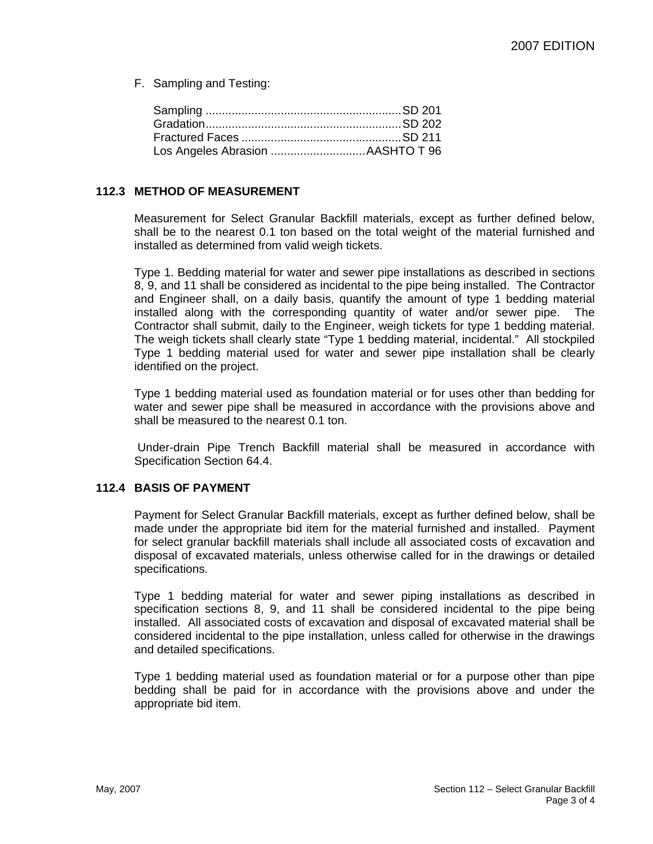F. Sampling and Testing:

#### **112.3 METHOD OF MEASUREMENT**

Measurement for Select Granular Backfill materials, except as further defined below, shall be to the nearest 0.1 ton based on the total weight of the material furnished and installed as determined from valid weigh tickets.

Type 1. Bedding material for water and sewer pipe installations as described in sections 8, 9, and 11 shall be considered as incidental to the pipe being installed. The Contractor and Engineer shall, on a daily basis, quantify the amount of type 1 bedding material installed along with the corresponding quantity of water and/or sewer pipe. The Contractor shall submit, daily to the Engineer, weigh tickets for type 1 bedding material. The weigh tickets shall clearly state "Type 1 bedding material, incidental." All stockpiled Type 1 bedding material used for water and sewer pipe installation shall be clearly identified on the project.

Type 1 bedding material used as foundation material or for uses other than bedding for water and sewer pipe shall be measured in accordance with the provisions above and shall be measured to the nearest 0.1 ton.

Under-drain Pipe Trench Backfill material shall be measured in accordance with Specification Section 64.4.

### **112.4 BASIS OF PAYMENT**

Payment for Select Granular Backfill materials, except as further defined below, shall be made under the appropriate bid item for the material furnished and installed. Payment for select granular backfill materials shall include all associated costs of excavation and disposal of excavated materials, unless otherwise called for in the drawings or detailed specifications.

Type 1 bedding material for water and sewer piping installations as described in specification sections 8, 9, and 11 shall be considered incidental to the pipe being installed. All associated costs of excavation and disposal of excavated material shall be considered incidental to the pipe installation, unless called for otherwise in the drawings and detailed specifications.

Type 1 bedding material used as foundation material or for a purpose other than pipe bedding shall be paid for in accordance with the provisions above and under the appropriate bid item.